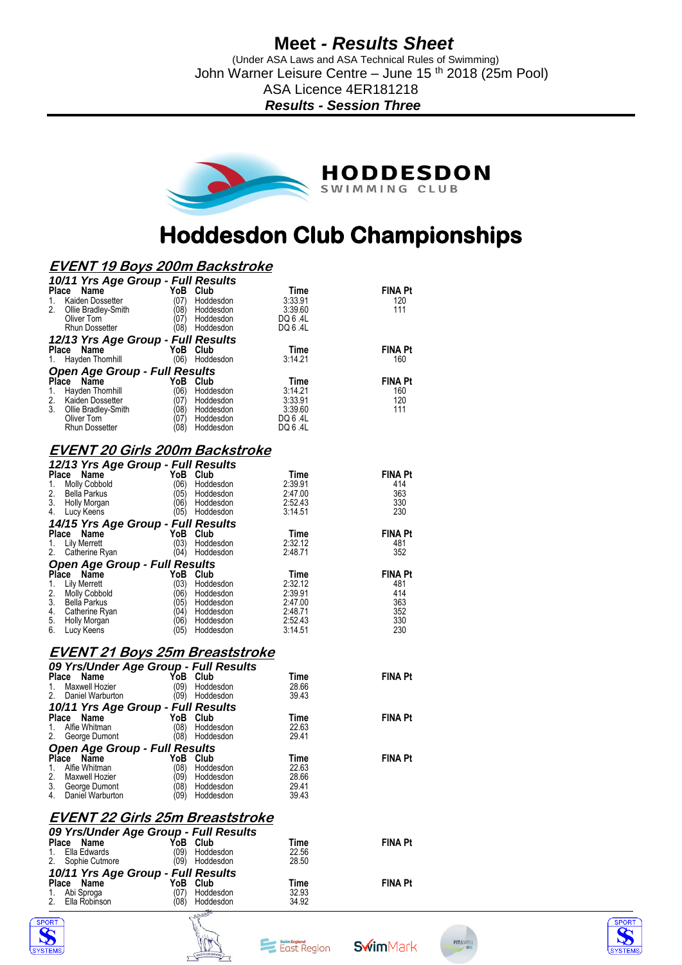## **Meet** *- Results Sheet*

 (Under ASA Laws and ASA Technical Rules of Swimming) John Warner Leisure Centre – June 15<sup>th</sup> 2018 (25m Pool) ASA Licence 4ER181218

*Results - Session Three*



# **Hoddesdon Club Championships**

### **EVENT 19 Boys 200m Backstroke**

| 10/11 Yrs Age Group - Full Results   |      |           |         |                |
|--------------------------------------|------|-----------|---------|----------------|
| <b>Place</b><br>Name                 | YoB  | Club      | Time    | <b>FINA Pt</b> |
| Kaiden Dossetter<br>1.               | (07) | Hoddesdon | 3:33.91 | 120            |
| 2.<br>Ollie Bradley-Smith            | (08) | Hoddesdon | 3:39.60 | 111            |
| Oliver Tom                           | (07) | Hoddesdon | DQ 6.4L |                |
| <b>Rhun Dossetter</b>                | (08) | Hoddesdon | DQ 6.4L |                |
| 12/13 Yrs Age Group - Full Results   |      |           |         |                |
| <b>Place</b><br>Name                 |      | YoB Club  | Time    | <b>FINA Pt</b> |
| Hayden Thornhill<br>1.               | (06) | Hoddesdon | 3:14.21 | 160            |
| <b>Open Age Group - Full Results</b> |      |           |         |                |
| Place Name                           | YoB  | Club      | Time    | <b>FINA Pt</b> |
| Hayden Thomhill<br>1.                | (06) | Hoddesdon | 3:14.21 | 160            |
| 2.<br>Kaiden Dossetter               | (07) | Hoddesdon | 3:33.91 | 120            |
| 3.<br>Ollie Bradley-Smith            | (08) | Hoddesdon | 3:39.60 | 111            |
| Oliver Tom                           | (07) | Hoddesdon | DQ 6.4L |                |
| <b>Rhun Dossetter</b>                | (08  | Hoddesdon | DQ 6.4L |                |

#### **EVENT 20 Girls 200m Backstroke**  *12/13 Yrs Age Group - Full Results*

| YoB<br>Club       | Time                                                                                                               | <b>FINA Pt</b> |
|-------------------|--------------------------------------------------------------------------------------------------------------------|----------------|
| (06)<br>Hoddesdon | 2:39.91                                                                                                            | 414            |
| (05)<br>Hoddesdon | 2:47.00                                                                                                            | 363            |
| (06)<br>Hoddesdon | 2:52.43                                                                                                            | 330            |
| (05)<br>Hoddesdon | 3:14.51                                                                                                            | 230            |
|                   |                                                                                                                    |                |
| YoB<br>Club       | Time                                                                                                               | <b>FINA Pt</b> |
| (03)<br>Hoddesdon | 2:32.12                                                                                                            | 481            |
| (04)<br>Hoddesdon | 2:48.71                                                                                                            | 352            |
|                   |                                                                                                                    |                |
| YoB<br>Club       | Time                                                                                                               | <b>FINA Pt</b> |
| (03)<br>Hoddesdon | 2:32.12                                                                                                            | 481            |
| (06<br>Hoddesdon  | 2:39.91                                                                                                            | 414            |
| (05)<br>Hoddesdon | 2:47.00                                                                                                            | 363            |
| Hoddesdon<br>(04) | 2:48.71                                                                                                            | 352            |
| (06<br>Hoddesdon  | 2:52.43                                                                                                            | 330            |
| (05)<br>Hoddesdon | 3:14.51                                                                                                            | 230            |
|                   | <b>IZIS HYE GIUUP - FUII RESUILS</b><br>14/15 Yrs Age Group - Full Results<br><b>Open Age Group - Full Results</b> |                |

#### **EVENT 21 Boys 25m Breaststroke**

|                | 09 Yrs/Under Age Group - Full Results |      |           |       |                |  |  |  |
|----------------|---------------------------------------|------|-----------|-------|----------------|--|--|--|
| <b>Place</b>   | Name                                  | YoB. | Club      | Time  | <b>FINA Pt</b> |  |  |  |
| $\mathbf{1}$ . | Maxwell Hozier                        | (09) | Hoddesdon | 28.66 |                |  |  |  |
| 2 <sub>1</sub> | Daniel Warburton                      | (09) | Hoddesdon | 39.43 |                |  |  |  |
|                | 10/11 Yrs Age Group - Full Results    |      |           |       |                |  |  |  |
| <b>Place</b>   | Name                                  | YoB  | Club      | Time  | <b>FINA Pt</b> |  |  |  |
| 1.             | Alfie Whitman                         | (08) | Hoddesdon | 22.63 |                |  |  |  |
| 2.             | George Dumont                         | (08) | Hoddesdon | 29.41 |                |  |  |  |
|                | <b>Open Age Group - Full Results</b>  |      |           |       |                |  |  |  |
| <b>Place</b>   | <b>Name</b>                           | YoB  | Club      | Time  | <b>FINA Pt</b> |  |  |  |
| 1.             | Alfie Whitman                         | (08) | Hoddesdon | 22.63 |                |  |  |  |
| 2.             | Maxwell Hozier                        | (09) | Hoddesdon | 28.66 |                |  |  |  |
| 3.             | George Dumont                         | (08) | Hoddesdon | 29.41 |                |  |  |  |
| 4.             | Daniel Warburton                      | (09) | Hoddesdon | 39.43 |                |  |  |  |

#### **EVENT 22 Girls 25m Breaststroke**

|                                    | 09 Yrs/Under Age Group - Full Results |       |                |  |  |  |
|------------------------------------|---------------------------------------|-------|----------------|--|--|--|
| Place Name                         | YoB Club                              | Time  | <b>FINA Pt</b> |  |  |  |
| 1. Ella Edwards                    | (09)<br>Hoddesdon                     | 22.56 |                |  |  |  |
| 2. Sophie Cutmore                  | (09) Hoddesdon                        | 28.50 |                |  |  |  |
| 10/11 Yrs Age Group - Full Results |                                       |       |                |  |  |  |
| Place Name                         | YoB Club                              | Time  | <b>FINA Pt</b> |  |  |  |
| 1. Abi Sproga                      | Hoddesdon<br>(07)                     | 32.93 |                |  |  |  |
| 2. Ella Robinson                   | Hoddesdon<br>(08)                     | 34.92 |                |  |  |  |









**Swim**Mark

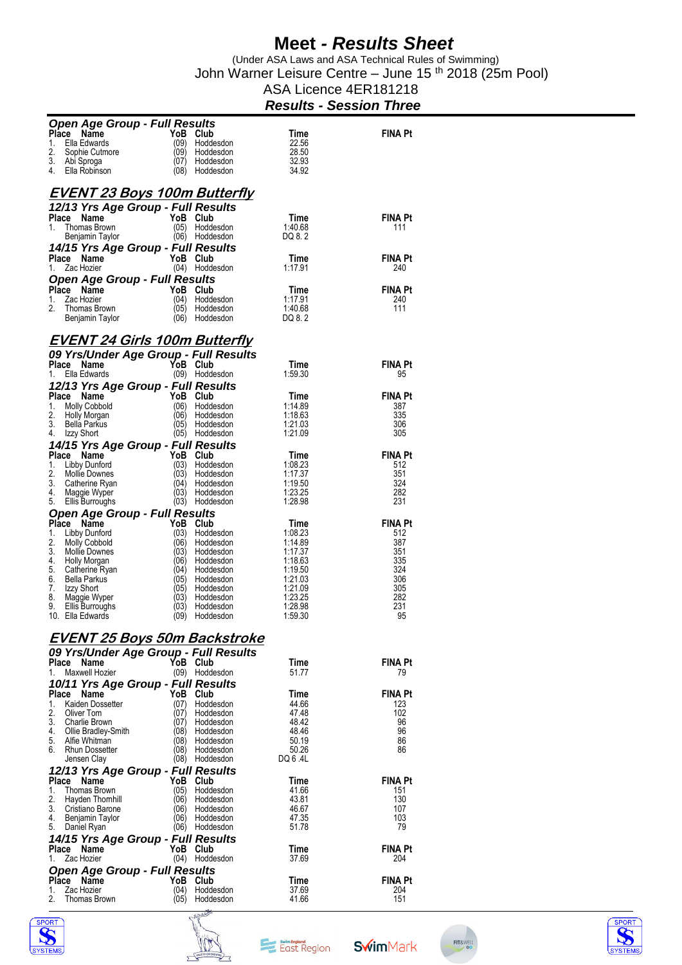## **Meet** *- Results Sheet*

 (Under ASA Laws and ASA Technical Rules of Swimming) John Warner Leisure Centre – June 15 th 2018 (25m Pool)

| ASA Licence 4ER181218          |  |  |  |  |
|--------------------------------|--|--|--|--|
| <b>Results - Session Three</b> |  |  |  |  |

| <b>Open Age Group - Full Results</b>   |              |                                  |                    |                       |  |  |
|----------------------------------------|--------------|----------------------------------|--------------------|-----------------------|--|--|
| Place<br>Name                          | YoB Club     |                                  | Time               | <b>FINA Pt</b>        |  |  |
| Ella Edwards<br>1.                     | (09)<br>(09) | Hoddesdon<br>Hoddesdon           | 22.56              |                       |  |  |
| 2.<br>Sophie Cutmore<br>3.             |              |                                  | 28.50<br>32.93     |                       |  |  |
| Abi Sproga<br>4.<br>Ella Robinson      | (07)<br>(08) | Hoddesdon<br>Hoddesdon           | 34.92              |                       |  |  |
|                                        |              |                                  |                    |                       |  |  |
|                                        |              |                                  |                    |                       |  |  |
| <b>EVENT 23 Boys 100m Butterfly</b>    |              |                                  |                    |                       |  |  |
| 12/13 Yrs Age Group - Full Results     |              |                                  |                    |                       |  |  |
| Place<br>Name                          | YoB Club     |                                  | Time               | <b>FINA Pt</b>        |  |  |
| 1.<br>Thomas Brown                     | (05)         | Hoddesdon                        | 1:40.68            | 111                   |  |  |
| Benjamin Taylor                        |              | (06) Hoddesdon                   | DQ 8.2             |                       |  |  |
| 14/15 Yrs Age Group - Full Results     |              |                                  |                    |                       |  |  |
| Place Name                             | YoB Club     |                                  | Time               | <b>FINA Pt</b>        |  |  |
| Zac Hozier<br>1.                       |              | (04) Hoddesdon                   | 1:17.91            | 240                   |  |  |
| <b>Open Age Group - Full Results</b>   |              |                                  |                    |                       |  |  |
| Place Name                             | YoB Club     |                                  | Time               | <b>FINA Pt</b>        |  |  |
| 1.<br>Zac Hozier                       | (04)         | Hoddesdon                        | 1:17.91            | 240                   |  |  |
| 2.<br>Thomas Brown                     | (05)         | Hoddesdon                        | 1:40.68            | 111                   |  |  |
| Benjamin Taylor                        | (06)         | Hoddesdon                        | DQ 8.2             |                       |  |  |
|                                        |              |                                  |                    |                       |  |  |
| <b>EVENT 24 Girls 100m Butterfly</b>   |              |                                  |                    |                       |  |  |
|                                        |              |                                  |                    |                       |  |  |
| 09 Yrs/Under Age Group - Full Results  |              |                                  |                    |                       |  |  |
| Place Name                             | YoB Club     |                                  | Time               | <b>FINA Pt</b>        |  |  |
| Ella Edwards<br>1.                     |              | (09) Hoddesdon                   | 1:59.30            | 95                    |  |  |
| 12/13 Yrs Age Group - Full Results     |              |                                  |                    |                       |  |  |
| Place Name                             | YoB Club     |                                  | Time               | <b>FINA Pt</b>        |  |  |
| 1.<br><b>Molly Cobbold</b>             | (06)         | Hoddesdon                        | 1:14.89            | 387                   |  |  |
| 2.<br>Holly Morgan                     | (06)         | Hoddesdon                        | 1:18.63            | 335                   |  |  |
| 3.<br>Bella Parkus                     | (05)         | Hoddesdon                        | 1:21.03            | 306                   |  |  |
| 4.<br>Izzy Short                       |              | (05) Hoddesdon                   | 1:21.09            | 305                   |  |  |
| 14/15 Yrs Age Group - Full Results     |              |                                  |                    |                       |  |  |
| Place Name                             | YoB Club     |                                  | Time               | <b>FINA Pt</b>        |  |  |
| 1.<br>Libby Dunford                    | (03)         | Hoddesdon                        | 1:08.23            | 512                   |  |  |
| 2.<br>Mollie Downes                    | (03)         | Hoddesdon                        | 1:17.37            | 351                   |  |  |
| 3.<br>Catherine Ryan                   | (04)         | Hoddesdon                        | 1:19.50            | 324                   |  |  |
| 4.<br>Maggie Wyper                     | (03)         | Hoddesdon                        | 1:23.25            | 282                   |  |  |
| 5.<br>Ellis Burroughs                  | (03)         | Hoddesdon                        | 1:28.98            | 231                   |  |  |
| <b>Open Age Group - Full Results</b>   |              |                                  |                    |                       |  |  |
| Place Name                             | YoB Club     |                                  | Time               | <b>FINA Pt</b>        |  |  |
| 1.<br>Libby Dunford                    | (03)         | Hoddesdon                        | 1:08.23            | 512                   |  |  |
| 2.<br>Molly Cobbold<br>3.              | (06)         | Hoddesdon                        | 1:14.89            | 387<br>351            |  |  |
| Mollie Downes<br>4.                    | (03)<br>(06) | Hoddesdon<br>Hoddesdon           | 1:17.37<br>1:18.63 | 335                   |  |  |
| Holly Morgan<br>5.<br>Catherine Ryan   | (04)         | Hoddesdon                        | 1:19.50            | 324                   |  |  |
| 6.<br>Bella Parkus                     | (05)         | Hoddesdon                        | 1:21.03            | 306                   |  |  |
| 7.<br>Izzy Short                       | (05)         | Hoddesdon                        | 1:21.09            | 305                   |  |  |
| 8.<br>Maggie Wyper                     | (03)         | Hoddesdon                        | 1:23.25            | 282                   |  |  |
| 9.<br>Ellis Burroughs                  | (03)         | Hoddesdon                        | 1:28.98            | 231                   |  |  |
| 10. Ella Edwards                       | (09)         | Hoddesdon                        | 1:59.30            | 95                    |  |  |
|                                        |              |                                  |                    |                       |  |  |
| <u>EVENT 25 Boys 50m Backstroke</u>    |              |                                  |                    |                       |  |  |
| 09 Yrs/Under Age Group - Full Results  |              |                                  |                    |                       |  |  |
| Name<br>Place                          | YoB Club     |                                  | Time               | <b>FINA Pt</b>        |  |  |
| Maxwell Hozier<br>1.                   |              | (09) Hoddesdon                   | 51.77              | 79                    |  |  |
| 10/11 Yrs Age Group - Full Results     |              |                                  |                    |                       |  |  |
| Place Name                             | YoB Club     |                                  | Time               | <b>FINA Pt</b>        |  |  |
| 1.<br>Kaiden Dossetter                 | (07)         | Hoddesdon                        | 44.66              | 123                   |  |  |
| 2.<br>Oliver Tom                       | (07)         | Hoddesdon                        | 47.48              | 102                   |  |  |
| 3.<br>Charlie Brown                    | (07)         | Hoddesdon                        | 48.42              | 96                    |  |  |
| 4.<br>Ollie Bradley-Smith              | (08)         | Hoddesdon                        | 48.46              | 96                    |  |  |
| 5.<br>Alfie Whitman                    | (08)         | Hoddesdon                        | 50.19              | 86                    |  |  |
| 6.<br><b>Rhun Dossetter</b>            |              | (08) Hoddesdon                   | 50.26              | 86                    |  |  |
| Jensen Clay                            |              | (08) Hoddesdon                   | DQ 6 .4L           |                       |  |  |
| 12/13 Yrs Age Group - Full Results     |              |                                  |                    |                       |  |  |
| <b>Place</b><br>Name                   | YoB Club     |                                  | Time               | <b>FINA Pt</b>        |  |  |
| 1.<br>Thomas Brown                     | (05)         | Hoddesdon                        | 41.66              | 151                   |  |  |
| 2.<br>Hayden Thomhill                  | (06)         | Hoddesdon                        | 43.81              | 130                   |  |  |
| 3.<br>Cristiano Barone                 | (06)         | Hoddesdon                        | 46.67              | 107                   |  |  |
| 4.<br>Benjamin Taylor<br>5.            |              | (06) Hoddesdon<br>(06) Hoddesdon | 47.35<br>51.78     | 103<br>79             |  |  |
| Daniel Ryan                            |              |                                  |                    |                       |  |  |
| 14/15 Yrs Age Group - Full Results     |              |                                  |                    |                       |  |  |
| Place Name                             | YoB Club     |                                  | Time               | <b>FINA Pt</b><br>204 |  |  |
| Zac Hozier<br>1.                       |              | (04) Hoddesdon                   | 37.69              |                       |  |  |
| <b>Open Age Group - Full Results</b>   |              |                                  |                    |                       |  |  |
| Place Name                             | YoB Club     |                                  | Time               | <b>FINA Pt</b>        |  |  |
| Zac Hozier<br>1.<br>2.<br>Thomas Brown | (04)<br>(05) | Hoddesdon<br>Hoddesdon           | 37.69<br>41.66     | 204<br>151            |  |  |
|                                        |              |                                  |                    |                       |  |  |







**Swim**Mark